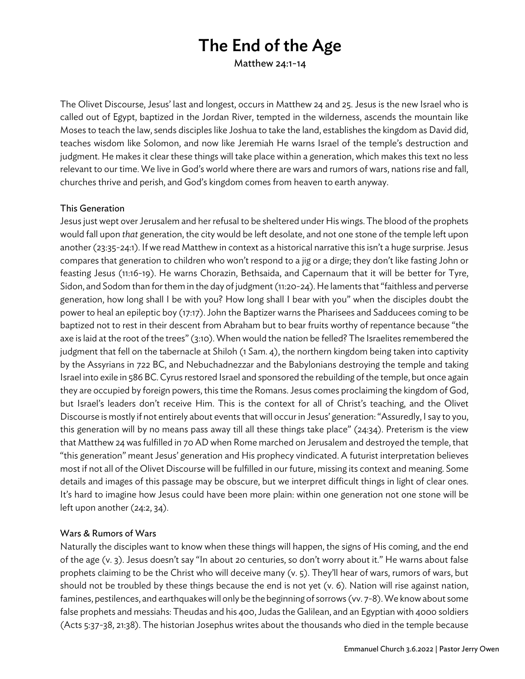# The End of the Age

Matthew 24:1-14

The Olivet Discourse, Jesus' last and longest, occurs in Matthew 24 and 25. Jesus is the new Israel who is called out of Egypt, baptized in the Jordan River, tempted in the wilderness, ascends the mountain like Moses to teach the law, sends disciples like Joshua to take the land, establishes the kingdom as David did, teaches wisdom like Solomon, and now like Jeremiah He warns Israel of the temple's destruction and judgment. He makes it clear these things will take place within a generation, which makes this text no less relevant to our time. We live in God's world where there are wars and rumors of wars, nations rise and fall, churches thrive and perish, and God's kingdom comes from heaven to earth anyway.

#### This Generation

Jesus just wept over Jerusalem and her refusal to be sheltered under His wings. The blood of the prophets would fall upon *that* generation, the city would be left desolate, and not one stone of the temple left upon another (23:35-24:1). If we read Matthew in context as a historical narrative this isn't a huge surprise. Jesus compares that generation to children who won't respond to a jig or a dirge; they don't like fasting John or feasting Jesus (11:16-19). He warns Chorazin, Bethsaida, and Capernaum that it will be better for Tyre, Sidon, and Sodom than for them in the day of judgment (11:20-24). He laments that "faithless and perverse generation, how long shall I be with you? How long shall I bear with you" when the disciples doubt the power to heal an epileptic boy (17:17). John the Baptizer warns the Pharisees and Sadducees coming to be baptized not to rest in their descent from Abraham but to bear fruits worthy of repentance because "the axe is laid at the root of the trees"(3:10). When would the nation be felled? The Israelites remembered the judgment that fell on the tabernacle at Shiloh (1 Sam. 4), the northern kingdom being taken into captivity by the Assyrians in 722 BC, and Nebuchadnezzar and the Babylonians destroying the temple and taking Israel into exile in 586 BC. Cyrus restored Israel and sponsored the rebuilding of the temple, but once again they are occupied by foreign powers, this time the Romans. Jesus comes proclaiming the kingdom of God, but Israel's leaders don't receive Him. This is the context for all of Christ's teaching, and the Olivet Discourse is mostly if not entirely about events that will occur in Jesus' generation: "Assuredly, I say to you, this generation will by no means pass away till all these things take place" (24:34). Preterism is the view that Matthew 24 was fulfilled in 70 AD when Rome marched on Jerusalem and destroyed the temple, that "this generation" meant Jesus' generation and His prophecy vindicated. A futurist interpretation believes most if not all of the Olivet Discourse will be fulfilled in our future, missing its context and meaning. Some details and images of this passage may be obscure, but we interpret difficult things in light of clear ones. It's hard to imagine how Jesus could have been more plain: within one generation not one stone will be left upon another (24:2, 34).

### Wars & Rumors of Wars

Naturally the disciples want to know when these things will happen, the signs of His coming, and the end of the age (v. 3). Jesus doesn't say "In about 20 centuries, so don't worry about it." He warns about false prophets claiming to be the Christ who will deceive many (v. 5). They'll hear of wars, rumors of wars, but should not be troubled by these things because the end is not yet (v. 6). Nation will rise against nation, famines, pestilences, and earthquakes will only be the beginning of sorrows (vv. 7-8). We know about some false prophets and messiahs: Theudas and his 400, Judas the Galilean, and an Egyptian with 4000 soldiers (Acts 5:37-38, 21:38). The historian Josephus writes about the thousands who died in the temple because